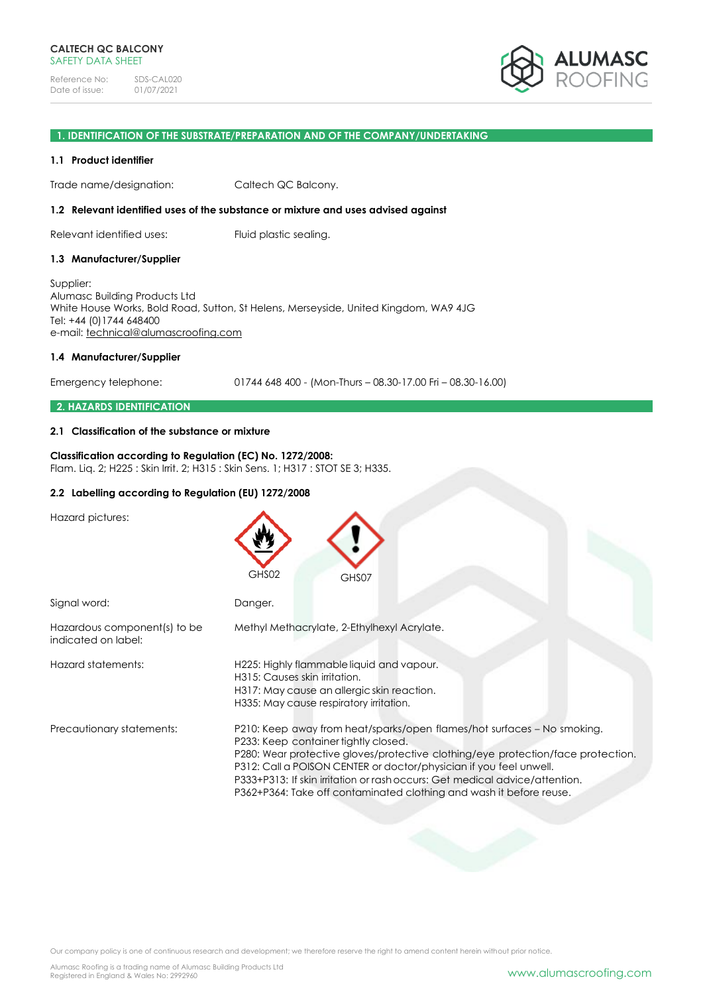

### **1. IDENTIFICATION OF THE SUBSTRATE/PREPARATION AND OF THE COMPANY/UNDERTAKING**

### **1.1 Product identifier**

Trade name/designation: Caltech QC Balcony.

### **1.2 Relevant identified uses of the substance or mixture and uses advised against**

Relevant identified uses: Fluid plastic sealing.

#### **1.3 Manufacturer/Supplier**

Supplier: Alumasc Building Products Ltd White House Works, Bold Road, Sutton, St Helens, Merseyside, United Kingdom, WA9 4JG Tel: +44 (0)1744 648400 e-mail: [technical@alumascroofing.com](mailto:technical@alumascroofing.com)

#### **1.4 Manufacturer/Supplier**

Emergency telephone: 01744 648 400 - (Mon-Thurs – 08.30-17.00 Fri – 08.30-16.00)

### **2. HAZARDS IDENTIFICATION**

### **2.1 Classification of the substance or mixture**

### **Classification according to Regulation (EC) No. 1272/2008:** Flam. Liq. 2; H225 : Skin Irrit. 2; H315 : Skin Sens. 1; H317 : STOT SE 3; H335.

### **2.2 Labelling according to Regulation (EU) 1272/2008**

Hazard pictures:

|                                                     | GHS02<br>GHS07                                                                                                                                                                                                                                                                                                                                                                                                                  |
|-----------------------------------------------------|---------------------------------------------------------------------------------------------------------------------------------------------------------------------------------------------------------------------------------------------------------------------------------------------------------------------------------------------------------------------------------------------------------------------------------|
| Signal word:                                        | Danger.                                                                                                                                                                                                                                                                                                                                                                                                                         |
| Hazardous component(s) to be<br>indicated on label: | Methyl Methacrylate, 2-Ethylhexyl Acrylate.                                                                                                                                                                                                                                                                                                                                                                                     |
| Hazard statements:                                  | H225: Highly flammable liquid and vapour.<br>H315: Causes skin irritation.<br>H317: May cause an allergic skin reaction.<br>H335: May cause respiratory irritation.                                                                                                                                                                                                                                                             |
| Precautionary statements:                           | P210: Keep away from heat/sparks/open flames/hot surfaces - No smoking.<br>P233: Keep container tightly closed.<br>P280: Wear protective gloves/protective clothing/eye protection/face protection.<br>P312: Call a POISON CENTER or doctor/physician if you feel unwell.<br>P333+P313: If skin irritation or rash occurs: Get medical advice/attention.<br>P362+P364: Take off contaminated clothing and wash it before reuse. |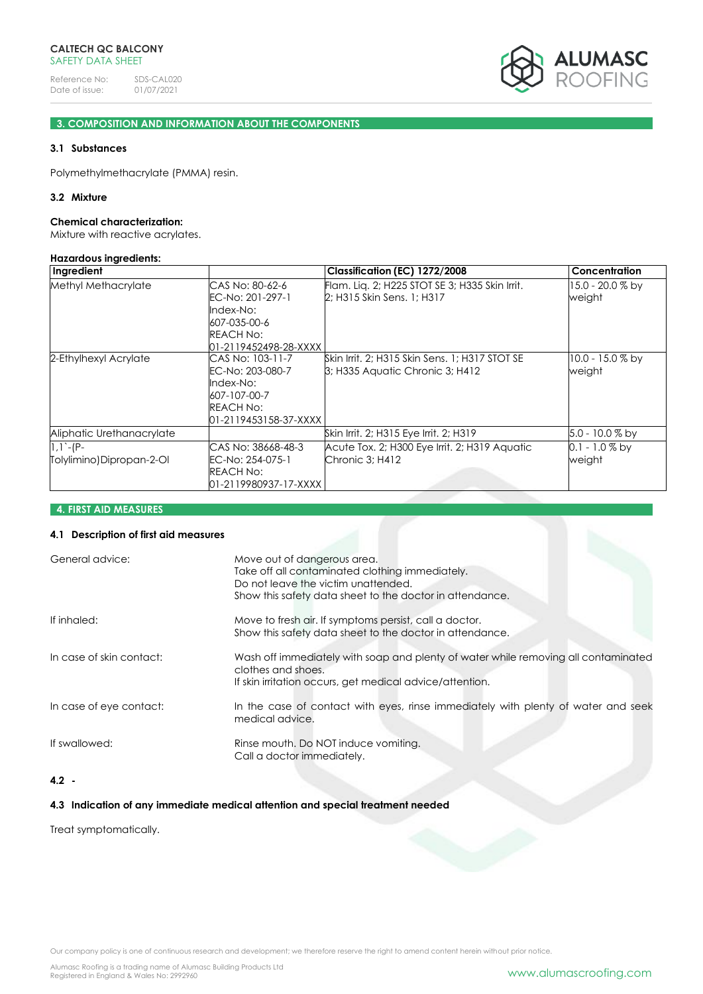

# **3. COMPOSITION AND INFORMATION ABOUT THE COMPONENTS**

## **3.1 Substances**

Polymethylmethacrylate (PMMA) resin.

### **3.2 Mixture**

#### **Chemical characterization:**

Mixture with reactive acrylates.

#### **Hazardous ingredients:**

| Ingredient                               |                                                                                                         | Classification (EC) 1272/2008                                                             | <b>Concentration</b>         |
|------------------------------------------|---------------------------------------------------------------------------------------------------------|-------------------------------------------------------------------------------------------|------------------------------|
| Methyl Methacrylate                      | CAS No: 80-62-6<br>EC-No: 201-297-1<br>Index-No:<br>607-035-00-6<br>REACH No:<br>01-2119452498-28-XXXX  | Flam. Lig. 2; H225 STOT SE 3; H335 Skin Irrit.<br>2; H315 Skin Sens. 1; H317              | 15.0 - 20.0 % by<br>weight   |
| 2-Ethylhexyl Acrylate                    | CAS No: 103-11-7<br>EC-No: 203-080-7<br>Index-No:<br>607-107-00-7<br>REACH No:<br>01-2119453158-37-XXXX | Skin Irrit, 2; H315 Skin Sens, 1; H317 STOT SE<br><b>B</b> ; H335 Aquatic Chronic 3; H412 | $10.0 - 15.0 %$ by<br>weight |
| Aliphatic Urethanacrylate                |                                                                                                         | Skin Irrit. 2; H315 Eye Irrit. 2; H319                                                    | $5.0 - 10.0 %$ by            |
| $1,1 - (P -$<br>Tolylimino)Dipropan-2-Ol | CAS No: 38668-48-3<br>EC-No: 254-075-1<br><b>REACH No:</b><br>01-2119980937-17-XXXX                     | Acute Tox. 2; H300 Eye Irrit. 2; H319 Aquatic<br>Chronic 3; H412                          | $0.1 - 1.0\%$ by<br>weight   |

# **4. FIRST AID MEASURES**

# **4.1 Description of first aid measures**

| General advice:          | Move out of dangerous area.<br>Take off all contaminated clothing immediately.<br>Do not leave the victim unattended.<br>Show this safety data sheet to the doctor in attendance. |
|--------------------------|-----------------------------------------------------------------------------------------------------------------------------------------------------------------------------------|
| If inhaled:              | Move to fresh air. If symptoms persist, call a doctor.<br>Show this safety data sheet to the doctor in attendance.                                                                |
| In case of skin contact: | Wash off immediately with soap and plenty of water while removing all contaminated<br>clothes and shoes.<br>If skin irritation occurs, get medical advice/attention.              |
| In case of eye contact:  | In the case of contact with eyes, rinse immediately with plenty of water and seek<br>medical advice.                                                                              |
| If swallowed:            | Rinse mouth. Do NOT induce vomiting.<br>Call a doctor immediately.                                                                                                                |
|                          |                                                                                                                                                                                   |

# **4.2 -**

### **4.3 Indication of any immediate medical attention and special treatment needed**

Treat symptomatically.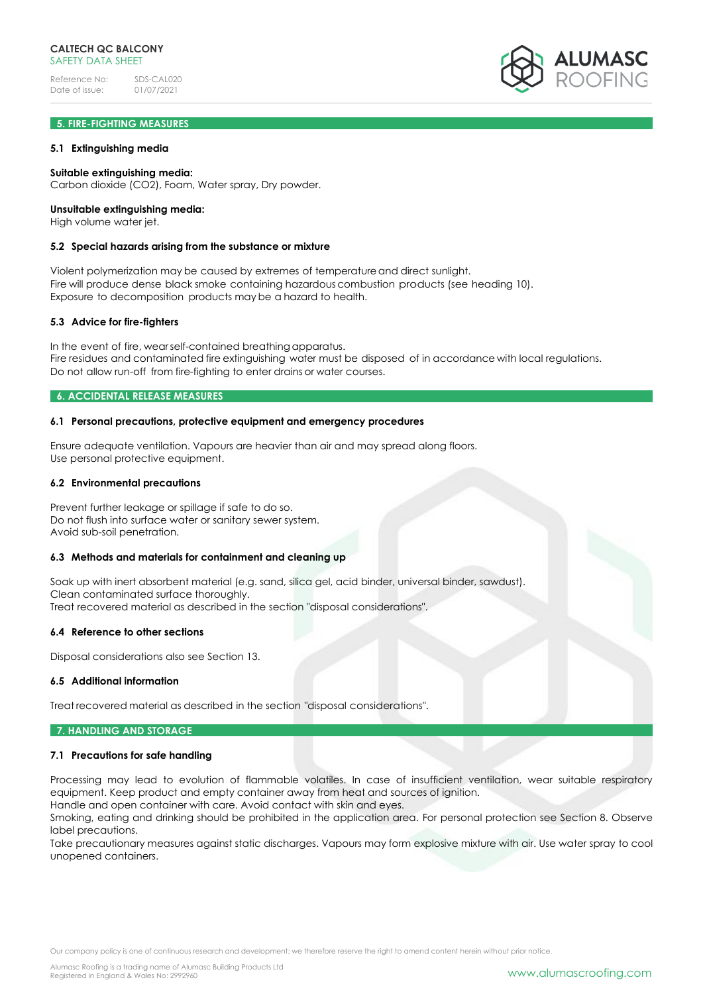# **5. FIRE-FIGHTING MEASURES**

### **5.1 Extinguishing media**

### **Suitable extinguishing media:**

Carbon dioxide (CO2), Foam, Water spray, Dry powder.

### **Unsuitable extinguishing media:**

High volume water jet.

### **5.2 Special hazards arising from the substance or mixture**

Violent polymerization may be caused by extremes of temperatureand direct sunlight. Fire will produce dense black smoke containing hazardous combustion products (see heading 10). Exposure to decomposition products may be a hazard to health.

### **5.3 Advice for fire-fighters**

In the event of fire, wearself-contained breathing apparatus. Fire residues and contaminated fire extinguishing water must be disposed of in accordance with local regulations. Do not allow run-off from fire-fighting to enter drains or water courses.

### **6. ACCIDENTAL RELEASE MEASURES**

### **6.1 Personal precautions, protective equipment and emergency procedures**

Ensure adequate ventilation. Vapours are heavier than air and may spread along floors. Use personal protective equipment.

#### **6.2 Environmental precautions**

Prevent further leakage or spillage if safe to do so. Do not flush into surface water or sanitary sewer system. Avoid sub-soil penetration.

### **6.3 Methods and materials for containment and cleaning up**

Soak up with inert absorbent material (e.g. sand, silica gel, acid binder, universal binder, sawdust). Clean contaminated surface thoroughly. Treat recovered material as described in the section "disposal considerations".

#### **6.4 Reference to other sections**

Disposal considerations also see Section 13.

### **6.5 Additional information**

Treat recovered material as described in the section "disposal considerations".

### **7. HANDLING AND STORAGE**

#### **7.1 Precautions for safe handling**

Processing may lead to evolution of flammable volatiles. In case of insufficient ventilation, wear suitable respiratory equipment. Keep product and empty container away from heat and sources of ignition.

Handle and open container with care. Avoid contact with skin and eyes. Smoking, eating and drinking should be prohibited in the application area. For personal protection see Section 8. Observe label precautions.

Take precautionary measures against static discharges. Vapours may form explosive mixture with air. Use water spray to cool unopened containers.

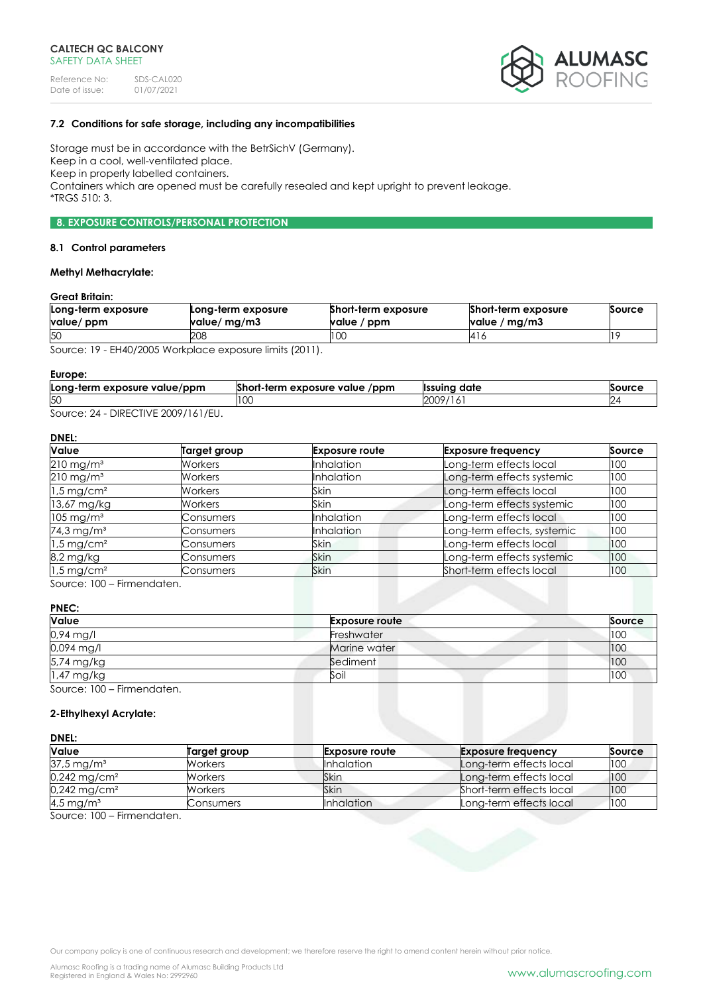

# **7.2 Conditions for safe storage, including any incompatibilities**

Storage must be in accordance with the BetrSichV (Germany). Keep in a cool, well-ventilated place. Keep in properly labelled containers. Containers which are opened must be carefully resealed and kept upright to prevent leakage. \*TRGS 510: 3.

# **8. EXPOSURE CONTROLS/PERSONAL PROTECTION**

#### **8.1 Control parameters**

# **Methyl Methacrylate:**

### **Great Britain:**

| Long-term exposure<br>value/ ppm | Long-term exposure<br>value/ mg/m3 | Short-term exposure<br>value / ppm | Short-term exposure<br>value / mg/m3 | Source |
|----------------------------------|------------------------------------|------------------------------------|--------------------------------------|--------|
| 50                               | 208                                | I UU                               | 416                                  |        |

Source: 19 - EH40/2005 Workplace exposure limits (2011).

#### **Europe:**

| Long-term exposure value/ppm | <b>PLANE</b><br>$/$ ppm<br>Short-term exposure value | date<br>llssuino | Source |
|------------------------------|------------------------------------------------------|------------------|--------|
| 50                           | LU.                                                  | 2009             |        |
| DIDFCATIVF                   |                                                      |                  |        |

Source: 24 - DIRECTIVE 2009/161/EU.

# **DNEL:**

| Value                    | <b>Target group</b> | <b>Exposure route</b> | <b>Exposure frequency</b>   | Source |
|--------------------------|---------------------|-----------------------|-----------------------------|--------|
| $210 \,\mathrm{mg/m^3}$  | Workers             | <b>Inhalation</b>     | Long-term effects local     | 100    |
| $210$ mg/m <sup>3</sup>  | <b>Workers</b>      | <b>Inhalation</b>     | Long-term effects systemic  | 100    |
| $1.5 \,\mathrm{mg/cm^2}$ | <b>Workers</b>      | Skin                  | Long-term effects local     | 100    |
| 13,67 mg/kg              | <b>Workers</b>      | Skin                  | Long-term effects systemic  | 100    |
| $105 \text{ mg/m}^3$     | Consumers           | <b>Inhalation</b>     | Long-term effects local     | 100    |
| 74,3 mg/m <sup>3</sup>   | Consumers           | <b>Inhalation</b>     | Long-term effects, systemic | 100    |
| $1.5 \,\mathrm{mg/cm^2}$ | Consumers           | Skin                  | Long-term effects local     | 100    |
| 8,2 mg/kg                | Consumers           | Skin                  | Long-term effects systemic  | 100    |
| $1.5 \,\mathrm{mg/cm^2}$ | Consumers           | <b>Skin</b>           | Short-term effects local    | 100    |

Source: 100 – Firmendaten.

### **PNEC:**

| Value                        | <b>Exposure route</b> | Source |
|------------------------------|-----------------------|--------|
| 0,94 mg/l                    | Freshwater            | 100    |
| 0,094 mg/l                   | Marine water          | 100    |
| 5,74 mg/kg                   | Sediment              | 100    |
| 1,47 mg/kg                   | Soil                  | 100    |
| $S_0$ uroo $100$ Eirmondaton |                       |        |

Source: 100 – Firmendaten.

### **2-Ethylhexyl Acrylate:**

#### **DNEL:**

| <b>Value</b>               | Target group | <b>Exposure route</b> | <b>Exposure frequency</b> | Source |
|----------------------------|--------------|-----------------------|---------------------------|--------|
| $37.5 \,\mathrm{mg/m^3}$   | Workers      | <b>Inhalation</b>     | Long-term effects local   | 100    |
| $0,242$ mg/cm <sup>2</sup> | Workers      | Skin                  | Long-term effects local   | 100    |
| $0,242 \,\mathrm{mg/cm^2}$ | Workers      | Skin                  | Short-term effects local  | 100    |
| 4,5 mg/m <sup>3</sup>      | Consumers    | <b>Inhalation</b>     | Long-term effects local   | 100    |

Source: 100 – Firmendaten.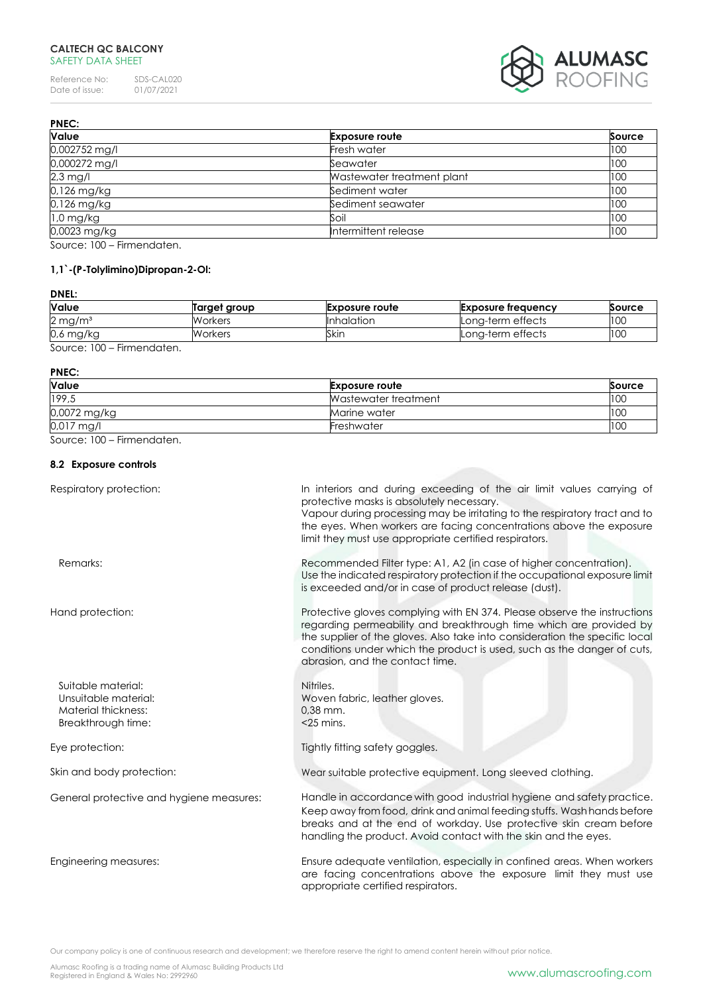# **CALTECH QC BALCONY** SAFETY DATA SHEET

Reference No: SDS-CAL020<br>Date of issue: 01/07/2021 Date of issue: 01/07/2021



| <b>PNEC:</b>         |                            |               |
|----------------------|----------------------------|---------------|
| Value                | <b>Exposure route</b>      | <b>Source</b> |
| 0,002752 mg/l        | Fresh water                | 100           |
| 0,000272 mg/l        | Seawater                   | 100           |
| $2,3$ mg/l           | Wastewater treatment plant | 100           |
| 0,126 mg/kg          | Sediment water             | 100           |
| 0,126 mg/kg          | Sediment seawater          | 100           |
| $1,0$ mg/kg          | Soil                       | 100           |
| 0,0023 mg/kg         | Intermittent release       | 100           |
| $\sim$ 100 $\sim$ 11 |                            |               |

Source: 100 – Firmendaten.

# **1,1`-(P-Tolylimino)Dipropan-2-Ol:**

# **DNEL:**

| <b>Value</b>                           | Target group   | <b>Exposure route</b> | <b>Exposure frequency</b> | Source |
|----------------------------------------|----------------|-----------------------|---------------------------|--------|
| $2 \,\mathrm{mg/m^3}$                  | <b>Workers</b> | Inhalation            | Long-term effects         | 100    |
| $0.6$ mg/kg                            | Workers        | Skin                  | Long-term effects         | 100    |
| $S_0$ uroo $\cdot$ 100<br>Eirmandation |                |                       |                           |        |

Source: 100 – Firmendaten.

#### **PNEC:**

| Value        | <b>Exposure route</b> | Source |
|--------------|-----------------------|--------|
| 199,5        | Wastewater treatment  | 100    |
| 0,0072 mg/kg | Marine water          | 100    |
| 0,017 mg/l   | Freshwater            | 100    |

Source: 100 – Firmendaten.

# **8.2 Exposure controls**

| Respiratory protection:                                                                 | In interiors and during exceeding of the air limit values carrying of<br>protective masks is absolutely necessary.<br>Vapour during processing may be irritating to the respiratory tract and to<br>the eyes. When workers are facing concentrations above the exposure<br>limit they must use appropriate certified respirators.           |
|-----------------------------------------------------------------------------------------|---------------------------------------------------------------------------------------------------------------------------------------------------------------------------------------------------------------------------------------------------------------------------------------------------------------------------------------------|
| Remarks:                                                                                | Recommended Filter type: A1, A2 (in case of higher concentration).<br>Use the indicated respiratory protection if the occupational exposure limit<br>is exceeded and/or in case of product release (dust).                                                                                                                                  |
| Hand protection:                                                                        | Protective gloves complying with EN 374. Please observe the instructions<br>regarding permeability and breakthrough time which are provided by<br>the supplier of the gloves. Also take into consideration the specific local<br>conditions under which the product is used, such as the danger of cuts,<br>abrasion, and the contact time. |
| Suitable material:<br>Unsuitable material:<br>Material thickness:<br>Breakthrough time: | Nitriles.<br>Woven fabric, leather gloves.<br>$0.38$ mm.<br>$<$ 25 mins.                                                                                                                                                                                                                                                                    |
| Eye protection:                                                                         | Tightly fitting safety goggles.                                                                                                                                                                                                                                                                                                             |
| Skin and body protection:                                                               | Wear suitable protective equipment. Long sleeved clothing.                                                                                                                                                                                                                                                                                  |
| General protective and hygiene measures:                                                | Handle in accordance with good industrial hygiene and safety practice.<br>Keep away from food, drink and animal feeding stuffs. Wash hands before<br>breaks and at the end of workday. Use protective skin cream before<br>handling the product. Avoid contact with the skin and the eyes.                                                  |
| Engineering measures:                                                                   | Ensure adequate ventilation, especially in confined areas. When workers<br>are facing concentrations above the exposure limit they must use<br>appropriate certified respirators.                                                                                                                                                           |

Our company policy is one of continuous research and development; we therefore reserve the right to amend content herein without prior notice.

Alumasc Roofing is a trading name of Alumasc Building Products Ltd<br>Registered in England & Wales No: 2992960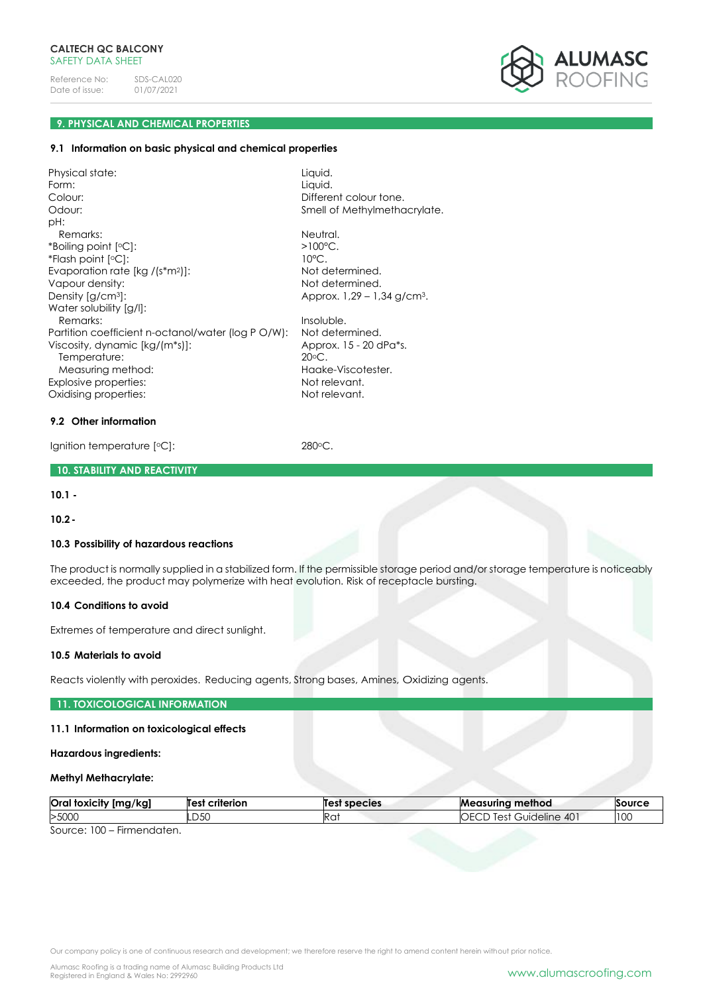

# **9. PHYSICAL AND CHEMICAL PROPERTIES**

#### **9.1 Information on basic physical and chemical properties**

Physical state: Liquid. Form: Liquid. Colour: Liquid. Colour: Liquid. Colour: Liquid. Liquid. Liquid. Liquid. Liquid. Liquid. Liquid. Liquid. Liquid. Liquid. Liquid. Liquid. Liquid. Liquid. Liquid. Liquid. Liquid. Liquid. Liquid. Liquid. Liquid. Different colour tone. Odour: Colour: Smell of Methylmethacrylate. pH: Remarks: Neutral. \*Boiling point [  $>100^{\circ}$ C. \*Flash point [  $10^{\circ}$ C. Evaporation rate [kg /(s\*m<sup>2</sup>)]: Not determined. Vapour density:  $V$ apour density:  $V$ Density  $[g/cm^3]$ : Approx.  $1,29 - 1,34$  g/cm<sup>3</sup>. Water solubility [g/l]: Remarks: Insoluble. Partition coefficient n-octanol/water (log P O/W): Not determined.<br>Viscosity, dynamic [ka/(m\*s)]: Approx, 15 - 20 dPa\*s. Viscosity, dynamic [kg/(m\*s)]: Temperature: 20°C. Measuring method: Haake-Viscotester. Explosive properties: Not relevant. Oxidising properties: Not relevant.

### **9.2 Other information**

Ignition temperature [°C]: 280°C.

### **10. STABILITY AND REACTIVITY**

**10.1 -**

**10.2-**

### **10.3 Possibility of hazardous reactions**

The product is normally supplied in a stabilized form. If the permissible storage period and/or storage temperature is noticeably exceeded, the product may polymerize with heat evolution. Risk of receptacle bursting.

### **10.4 Conditions to avoid**

Extremes of temperature and direct sunlight.

### **10.5 Materials to avoid**

Reacts violently with peroxides. Reducing agents, Strong bases, Amines, Oxidizing agents.

### **11. TOXICOLOGICAL INFORMATION**

### **11.1 Information on toxicological effects**

#### **Hazardous ingredients:**

#### **Methyl Methacrylate:**

| Oral<br>[mg/kg]<br>' foxicitv | criterion<br>Test | <b>Test species</b> | method<br>Measurina                      | Source |
|-------------------------------|-------------------|---------------------|------------------------------------------|--------|
| >5000                         | חגח<br>-20        | Ra                  | $40^{\circ}$<br>lest<br>Guideline<br>いいし | 100    |
| $-$<br>$\sim$<br>$\sim$       |                   |                     |                                          |        |

Source: 100 – Firmendaten.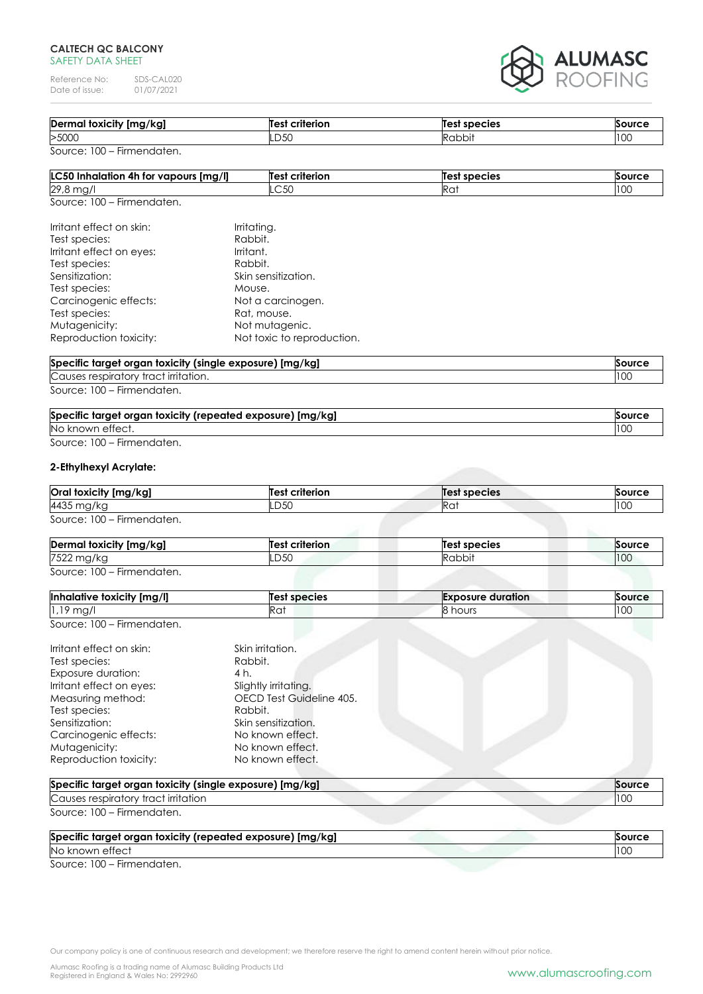### **CALTECH QC BALCONY** SAFETY DATA SHEET

Reference No: SDS-CAL020<br>Date of issue: 01/07/2021 Date of issue:



| Dermal toxicity [mg/kg] | Test criterion | Test species | Source |
|-------------------------|----------------|--------------|--------|
| >5000                   | .D5C           | Rabbit       | 100    |

| LC50 Inhalation 4h for vapours [mg/l] | <b>Test criterion</b> | Test species | <b>Source</b> |
|---------------------------------------|-----------------------|--------------|---------------|
| 29,8 mg/                              | LC 50                 | NU           | 100           |
| Source: 100 - Firmendaten.            |                       |              |               |

| Irritant effect on skin: | Irritating.                |
|--------------------------|----------------------------|
| Test species:            | Rabbit.                    |
| Irritant effect on eyes: | Irritant.                  |
| Test species:            | Rabbit.                    |
| Sensitization:           | Skin sensitization.        |
| Test species:            | Mouse.                     |
| Carcinogenic effects:    | Not a carcinogen.          |
| Test species:            | Rat, mouse.                |
| Mutagenicity:            | Not mutagenic.             |
| Reproduction toxicity:   | Not toxic to reproduction. |
|                          |                            |

| Specific target organ toxicity (single exposure) [mg/kg]<br>Source |     |
|--------------------------------------------------------------------|-----|
| Causes respiratory tract irritation.                               | 10C |
| Source: 100 – Firmendaten.                                         |     |

| Specific target organ toxicity (repeated exposure) [mg/kg] | Source |
|------------------------------------------------------------|--------|
| No known effect.                                           | 100    |

# Source: 100 – Firmendaten.

### **2-Ethylhexyl Acrylate:**

| Oral toxicity [mg/kg]      | <b>Test criterion</b> | <b>Test species</b> | Source |
|----------------------------|-----------------------|---------------------|--------|
| 4435 mg/kg                 | LD50                  | Rai                 | 100    |
| Source: 100 – Firmendaten. |                       |                     |        |

| Dermal toxicity [mg/kg]    | Test criterion | Test species | Source |
|----------------------------|----------------|--------------|--------|
| 7522 mg/kg                 | .D50           | Rabbit       | 100    |
| Source: 100 – Firmendaten. |                |              |        |

| Inhalative toxicity [mg/l]               | Test species | <b>Exposure duration</b> | Source |
|------------------------------------------|--------------|--------------------------|--------|
| $1,19$ mg,                               | . ~ د<br>ĸu. | hours                    | 100    |
| $S_{\Omega U}$ rca: $100 - Eirmandation$ |              |                          |        |

|  | Source: 100 – Firmendaten. |
|--|----------------------------|
|  |                            |

| Irritant effect on skin: | Skin irritation.         |
|--------------------------|--------------------------|
| Test species:            | Rabbit.                  |
| Exposure duration:       | 4 h.                     |
| Irritant effect on eyes: | Slightly irritating.     |
| Measuring method:        | OECD Test Guideline 405. |
| Test species:            | Rabbit.                  |
| Sensitization:           | Skin sensitization.      |
| Carcinogenic effects:    | No known effect.         |
| Mutagenicity:            | No known effect.         |
| Reproduction toxicity:   | No known effect.         |

| Specific target organ toxicity (single exposure) [mg/kg] | Source |
|----------------------------------------------------------|--------|
| Causes respiratory tract irritation                      |        |
| Source: 100 – Firmendaten.                               |        |

| Specific target organ toxicity (repeated exposure) [mg/kg] | Source |
|------------------------------------------------------------|--------|
| No known effect                                            |        |
| $S_0, \ldots, S_1, \ldots, S_1, \ldots, S_n$               |        |

Source: 100 – Firmendaten.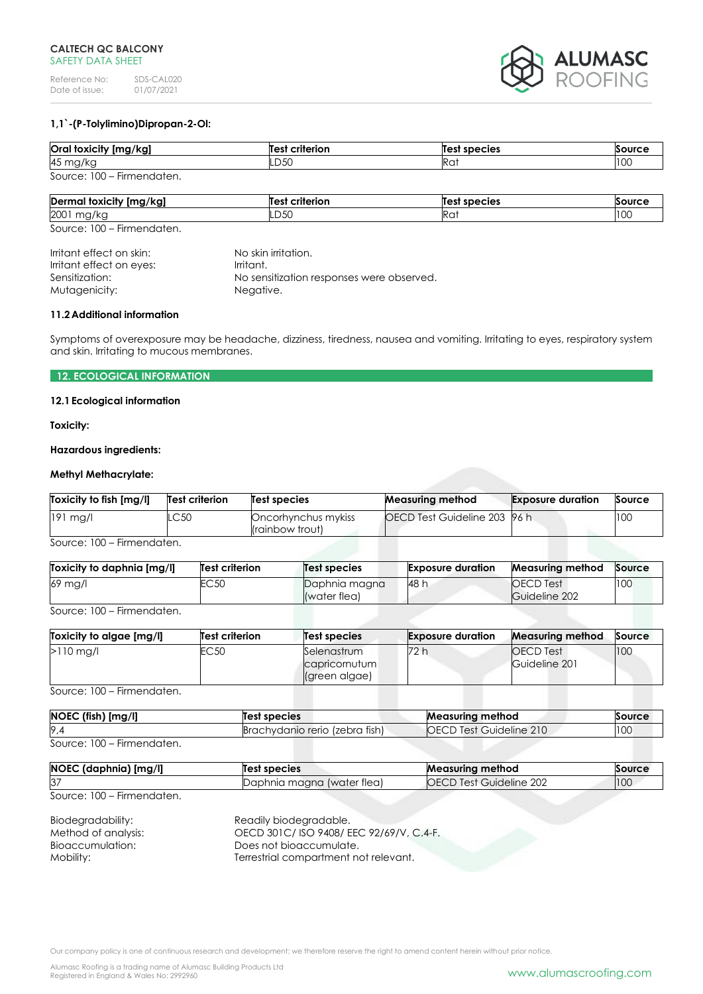

# **1,1`-(P-Tolylimino)Dipropan-2-Ol:**

| Oral toxicity [mg/kg]      | Test criterion | <b>Test species</b> | Source |
|----------------------------|----------------|---------------------|--------|
| 45 mg/kg                   | LD50           | Rai                 | 100    |
| Source: 100 – Firmendaten. |                |                     |        |

| <br>Dermal<br>! foxicity [mg/kg] | $\ddot{\phantom{0}}$<br>--------<br>m | Те<br>species   | $\sim$               |
|----------------------------------|---------------------------------------|-----------------|----------------------|
| 2001<br>ື<br>$\sim$              | $\sim$ $\sim$<br>-DJU                 | Ra <sup>.</sup> | $\sim$ $\sim$<br>ט ו |

Source: 100 – Firmendaten.

Irritant effect on skin: No skin irritation.<br>
Irritant effect on eyes: Irritant. Irritant effect on eyes: Sensitization: No sensitization responses were observed. Mutagenicity: Negative.

### **11.2Additional information**

Symptoms of overexposure may be headache, dizziness, tiredness, nausea and vomiting. Irritating to eyes, respiratory system and skin. Irritating to mucous membranes.

# **12. ECOLOGICAL INFORMATION**

### **12.1Ecological information**

**Toxicity:**

### **Hazardous ingredients:**

# **Methyl Methacrylate:**

| OECD Test Guideline 203 96 h<br>100<br>$191$ mg/l<br>.C50<br>Oncorhynchus mykiss | Toxicity to fish [mg/l] | Test criterion | Test species    | <b>Measuring method</b> | <b>Exposure duration</b> | Source |
|----------------------------------------------------------------------------------|-------------------------|----------------|-----------------|-------------------------|--------------------------|--------|
|                                                                                  |                         |                | (rainbow trout) |                         |                          |        |

Source: 100 – Firmendaten.

| Toxicity to daphnia [mg/l] | <b>Test criterion</b> | Test species                  | <b>Exposure duration</b> | <b>Measuring method</b>           | Source |
|----------------------------|-----------------------|-------------------------------|--------------------------|-----------------------------------|--------|
| 69 mg/l                    | EC 50                 | Daphnia magna<br>(water flea) | 48 h                     | <b>OECD</b> Test<br>Guideline 202 | 100    |
|                            |                       |                               |                          |                                   |        |

Source: 100 – Firmendaten.

| Toxicity to algae [mg/l] | <b>Test criterion</b> | <b>Test species</b>                           | <b>Exposure duration</b> | <b>Measuring method</b>           | Source |
|--------------------------|-----------------------|-----------------------------------------------|--------------------------|-----------------------------------|--------|
| $>110$ mg/l              | EC <sub>50</sub>      | Selenastrum<br>capricornutum<br>(green algae) | 72 h                     | <b>OECD</b> Test<br>Guideline 201 | 100    |

Source: 100 – Firmendaten.

| NOEC (fish) [mg/l]         | Test species                   | Measuring method               | Source |  |
|----------------------------|--------------------------------|--------------------------------|--------|--|
| 9.4                        | Brachydanio rerio (zebra fish) | <b>OECD Test Guideline 210</b> | 100    |  |
| Source: 100 – Firmendaten. |                                |                                |        |  |

| NOEC (daphnia) [mg/l] | Test species               | <b>Measuring method</b> | Source |
|-----------------------|----------------------------|-------------------------|--------|
| 37                    | Daphnia magna (water flea) | OECD Test Guideline 202 | 100    |

Source: 100 – Firmendaten.

| Biodegradability:   | Readily biodegradable.                 |
|---------------------|----------------------------------------|
| Method of analysis: | OECD 301C/ISO 9408/EEC 92/69/V, C.4-F. |
| Bioaccumulation:    | Does not bioaccumulate.                |
| Mobility:           | Terrestrial compartment not relevant.  |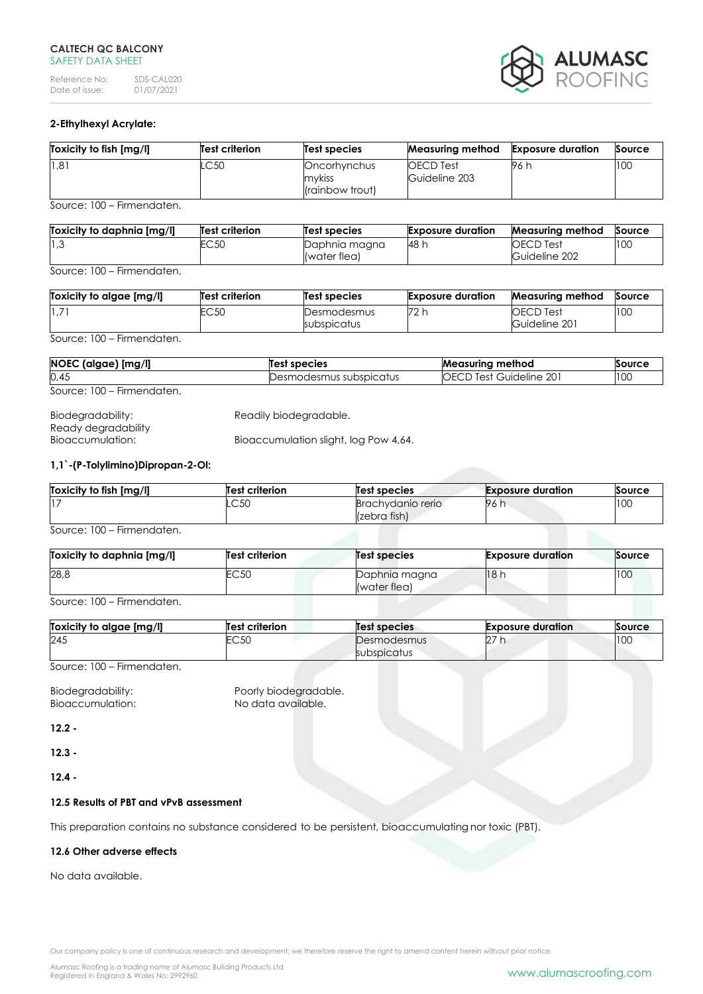### **CALTECH QC BALCONY** SAFFTY DATA SHFFT

Reference No: SDS-CAL020<br>Date of issue: 01/07/2021 Date of issue:



# **2-Ethylhexyl Acrylate:**

| Toxicity to fish [mg/l] | Test criterion | Test species                              | <b>Measuring method</b>           | <b>Exposure duration</b> | Source |
|-------------------------|----------------|-------------------------------------------|-----------------------------------|--------------------------|--------|
| 1,81                    | C50            | Oncorhynchus<br>mykiss<br>(rainbow trout) | <b>OECD</b> Test<br>Guideline 203 | 96 h                     | 100    |

Source: 100 – Firmendaten.

| Toxicity to daphnia [mg/l] | <b>Test criterion</b> | Test species  | <b>Exposure duration</b> | <b>Measuring method</b> | Source |
|----------------------------|-----------------------|---------------|--------------------------|-------------------------|--------|
| $\vert 1,3 \rangle$        | EC 50                 | Daphnia magna | 48 h                     | <b>OECD</b> Test        | 100    |
|                            |                       | (water flea)  |                          | Guideline 202           |        |

Source: 100 – Firmendaten.

| Toxicity to algae [mg/l] | <b>Test criterion</b> | Test species               | <b>Exposure duration</b> | <b>Measuring method</b>           | Source |
|--------------------------|-----------------------|----------------------------|--------------------------|-----------------------------------|--------|
| $1.7^{\circ}$            | EC 50                 | Desmodesmus<br>subspicatus | 72 h                     | <b>OECD Test</b><br>Guideline 201 | 100    |

Source: 100 – Firmendaten.

| NOEC (algae) [mg/l]        | Test species              | <b>Measuring method</b>        | Source |
|----------------------------|---------------------------|--------------------------------|--------|
| 0,45                       | Desmodesmus subspicatus : | <b>OECD Test Guideline 201</b> | 100    |
| Source: 100 – Firmendaten. |                           |                                |        |

| Biodegradability:   | Readily biodegradable.                |
|---------------------|---------------------------------------|
| Ready degradability |                                       |
| Bioaccumulation:    | Bioaccumulation slight, log Pow 4,64. |

### **1,1`-(P-Tolylimino)Dipropan-2-Ol:**

| Toxicity to fish [mg/l] | <b>Test criterion</b> | <b>Test species</b>               | <b>Exposure duration</b> | Source |
|-------------------------|-----------------------|-----------------------------------|--------------------------|--------|
| 17                      | $\cap$ 50<br>∟ບບບ     | Brachydanio rerio<br>(zebra fish) | 96 h                     | 100    |

Source: 100 – Firmendaten.

| Toxicity to daphnia [mg/l] | Test criterion | Test species                  | <b>Exposure duration</b> | Source |
|----------------------------|----------------|-------------------------------|--------------------------|--------|
| 28,8                       | EC50           | Daphnia magna<br>(water flea) | 18 h                     | 100    |

Source: 100 – Firmendaten.

| Toxicity to algae [mg/l] | <b>Test criterion</b> | Test species               | <b>Exposure duration</b> | Source |
|--------------------------|-----------------------|----------------------------|--------------------------|--------|
| 245                      | 2050<br>∟∪∪∪          | Desmodesmus<br>subspicatus | $\sim$<br>IZ.            | 100    |

Source: 100 – Firmendaten.

Biodegradability: Poorly biodegradable.<br>
Bioaccumulation: No data available. Bioaccumulation:

**12.2 -**

**12.3 -**

**12.4 -**

### **12.5 Results of PBT and vPvB assessment**

This preparation contains no substance considered to be persistent, bioaccumulating nor toxic (PBT).

### **12.6 Other adverse effects**

No data available.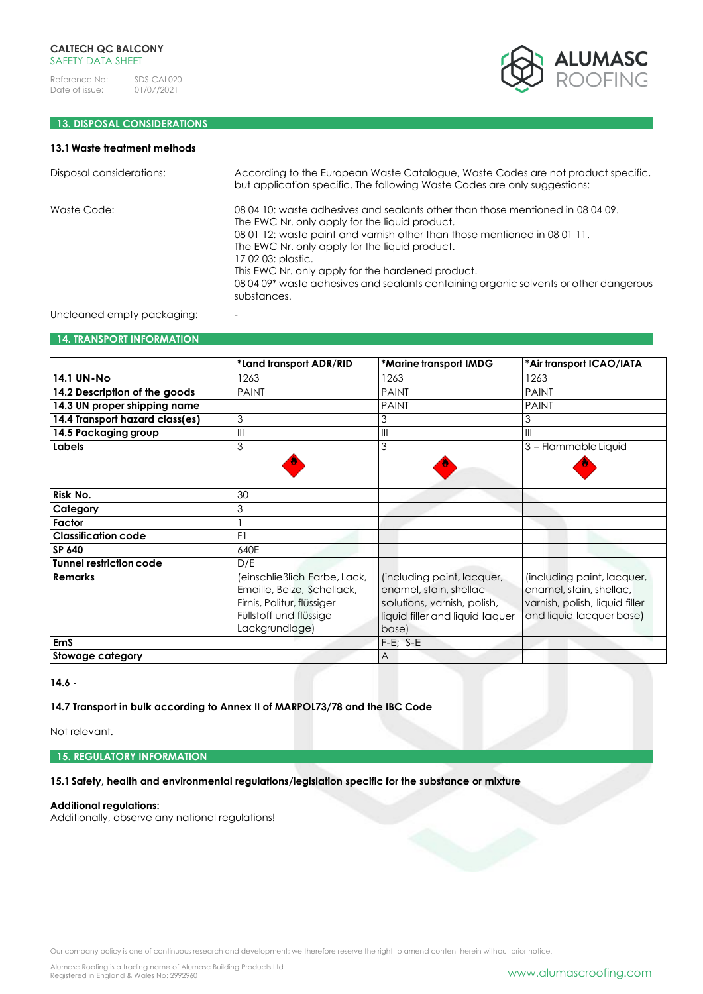

# **13. DISPOSAL CONSIDERATIONS**

# **13.1Waste treatment methods**

| Disposal considerations:   | According to the European Waste Catalogue, Waste Codes are not product specific,<br>but application specific. The following Waste Codes are only suggestions:                                                                                                                                                                                                                                                                                      |
|----------------------------|----------------------------------------------------------------------------------------------------------------------------------------------------------------------------------------------------------------------------------------------------------------------------------------------------------------------------------------------------------------------------------------------------------------------------------------------------|
| Waste Code:                | 08 04 10: waste adhesives and sealants other than those mentioned in 08 04 09.<br>The EWC Nr. only apply for the liquid product.<br>08 01 12: waste paint and varnish other than those mentioned in 08 01 11.<br>The EWC Nr. only apply for the liquid product.<br>17 02 03: plastic.<br>This EWC Nr. only apply for the hardened product.<br>08 04 09* waste adhesives and sealants containing organic solvents or other dangerous<br>substances. |
| Uncleaned empty packaging: |                                                                                                                                                                                                                                                                                                                                                                                                                                                    |

#### **14. TRANSPORT INFORMATION**

|                                 | *Land transport ADR/RID      | *Marine transport IMDG                | *Air transport ICAO/IATA       |
|---------------------------------|------------------------------|---------------------------------------|--------------------------------|
| <b>14.1 UN-No</b>               | 1263                         | 1263                                  | 1263                           |
| 14.2 Description of the goods   | <b>PAINT</b>                 | <b>PAINT</b>                          | <b>PAINT</b>                   |
| 14.3 UN proper shipping name    |                              | <b>PAINT</b>                          | <b>PAINT</b>                   |
| 14.4 Transport hazard class(es) | 3                            | 3                                     | 3                              |
| 14.5 Packaging group            | $\mathsf{III}$               | $\begin{array}{c} \hline \end{array}$ | $\mathbf{III}$                 |
| Labels                          | 3                            | 3                                     | 3 - Flammable Liquid           |
|                                 |                              |                                       |                                |
|                                 |                              |                                       |                                |
| Risk No.                        | 30                           |                                       |                                |
| Category                        | 3                            |                                       |                                |
| Factor                          |                              |                                       |                                |
| <b>Classification code</b>      | F1                           |                                       |                                |
| SP 640                          | 640E                         |                                       |                                |
| Tunnel restriction code         | D/E                          |                                       |                                |
| <b>Remarks</b>                  | (einschließlich Farbe, Lack, | (including paint, lacquer,            | (including paint, lacquer,     |
|                                 | Emaille, Beize, Schellack,   | enamel, stain, shellac                | enamel, stain, shellac,        |
|                                 | Firnis, Politur, flüssiger   | solutions, varnish, polish,           | varnish, polish, liquid filler |
|                                 | Füllstoff und flüssige       | liquid filler and liquid laquer       | and liquid lacquer base)       |
|                                 | Lackgrundlage)               | base)                                 |                                |
| <b>EmS</b>                      |                              | $F-E$ ; $S-E$                         |                                |
| Stowage category                |                              | A                                     |                                |

**14.6 -**

**14.7 Transport in bulk according to Annex II of MARPOL73/78 and the IBC Code**

Not relevant.

**15. REGULATORY INFORMATION**

**15.1Safety, health and environmental regulations/legislation specific for the substance or mixture**

# **Additional regulations:**

Additionally, observe any national regulations!